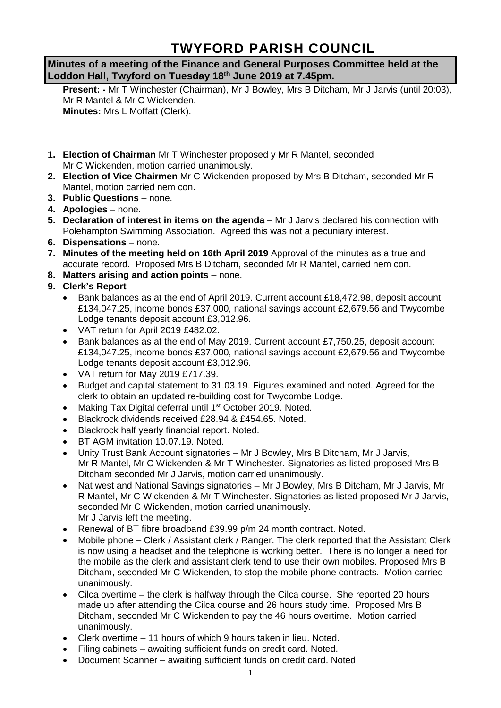# **TWYFORD PARISH COUNCIL**

**Minutes of a meeting of the Finance and General Purposes Committee held at the Loddon Hall, Twyford on Tuesday 18th June 2019 at 7.45pm.**

**Present: -** Mr T Winchester (Chairman), Mr J Bowley, Mrs B Ditcham, Mr J Jarvis (until 20:03), Mr R Mantel & Mr C Wickenden. **Minutes:** Mrs L Moffatt (Clerk).

- **1. Election of Chairman** Mr T Winchester proposed y Mr R Mantel, seconded Mr C Wickenden, motion carried unanimously.
- **2. Election of Vice Chairmen** Mr C Wickenden proposed by Mrs B Ditcham, seconded Mr R Mantel, motion carried nem con.
- **3. Public Questions** none.
- **4. Apologies** none.
- **5. Declaration of interest in items on the agenda** Mr J Jarvis declared his connection with Polehampton Swimming Association. Agreed this was not a pecuniary interest.
- **6. Dispensations** none.
- **7. Minutes of the meeting held on 16th April 2019** Approval of the minutes as a true and accurate record. Proposed Mrs B Ditcham, seconded Mr R Mantel, carried nem con.
- **8. Matters arising and action points** none.
- **9. Clerk's Report**
	- Bank balances as at the end of April 2019. Current account £18,472.98, deposit account £134,047.25, income bonds £37,000, national savings account £2,679.56 and Twycombe Lodge tenants deposit account £3,012.96.
	- VAT return for April 2019 £482.02.
	- Bank balances as at the end of May 2019. Current account £7,750.25, deposit account £134,047.25, income bonds £37,000, national savings account £2,679.56 and Twycombe Lodge tenants deposit account £3,012.96.
	- VAT return for May 2019 £717.39.
	- Budget and capital statement to 31.03.19. Figures examined and noted. Agreed for the clerk to obtain an updated re-building cost for Twycombe Lodge.
	- Making Tax Digital deferral until 1<sup>st</sup> October 2019. Noted.
	- Blackrock dividends received £28.94 & £454.65. Noted.
	- Blackrock half yearly financial report. Noted.
	- BT AGM invitation 10.07.19. Noted.
	- Unity Trust Bank Account signatories Mr J Bowley, Mrs B Ditcham, Mr J Jarvis, Mr R Mantel, Mr C Wickenden & Mr T Winchester. Signatories as listed proposed Mrs B Ditcham seconded Mr J Jarvis, motion carried unanimously.
	- Nat west and National Savings signatories Mr J Bowley, Mrs B Ditcham, Mr J Jarvis, Mr R Mantel, Mr C Wickenden & Mr T Winchester. Signatories as listed proposed Mr J Jarvis, seconded Mr C Wickenden, motion carried unanimously. Mr J Jarvis left the meeting.
	- Renewal of BT fibre broadband £39.99 p/m 24 month contract. Noted.
	- Mobile phone Clerk / Assistant clerk / Ranger. The clerk reported that the Assistant Clerk is now using a headset and the telephone is working better. There is no longer a need for the mobile as the clerk and assistant clerk tend to use their own mobiles. Proposed Mrs B Ditcham, seconded Mr C Wickenden, to stop the mobile phone contracts. Motion carried unanimously.
	- Cilca overtime the clerk is halfway through the Cilca course. She reported 20 hours made up after attending the Cilca course and 26 hours study time. Proposed Mrs B Ditcham, seconded Mr C Wickenden to pay the 46 hours overtime. Motion carried unanimously.
	- Clerk overtime 11 hours of which 9 hours taken in lieu. Noted.
	- Filing cabinets awaiting sufficient funds on credit card. Noted.
	- Document Scanner awaiting sufficient funds on credit card. Noted.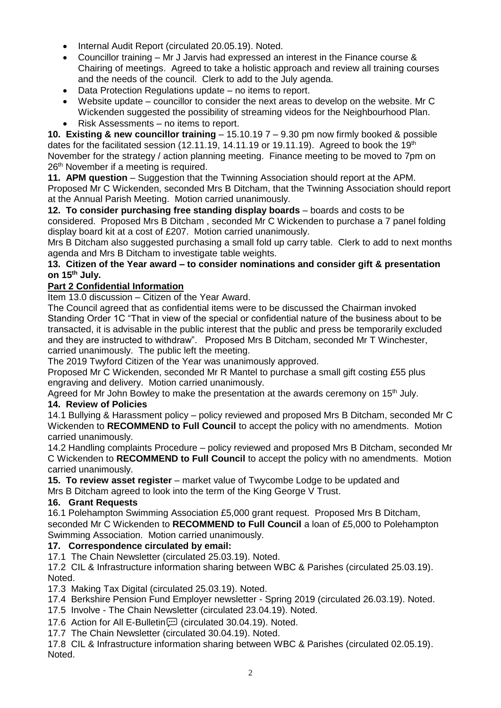- Internal Audit Report (circulated 20.05.19). Noted.
- Councillor training Mr J Jarvis had expressed an interest in the Finance course & Chairing of meetings. Agreed to take a holistic approach and review all training courses and the needs of the council. Clerk to add to the July agenda.
- Data Protection Regulations update no items to report.
- Website update councillor to consider the next areas to develop on the website. Mr C Wickenden suggested the possibility of streaming videos for the Neighbourhood Plan.
- Risk Assessments no items to report.

**10. Existing & new councillor training** – 15.10.19 7 – 9.30 pm now firmly booked & possible dates for the facilitated session (12.11.19, 14.11.19 or 19.11.19). Agreed to book the 19<sup>th</sup> November for the strategy / action planning meeting. Finance meeting to be moved to 7pm on 26<sup>th</sup> November if a meeting is required.

**11. APM question** – Suggestion that the Twinning Association should report at the APM. Proposed Mr C Wickenden, seconded Mrs B Ditcham, that the Twinning Association should report at the Annual Parish Meeting. Motion carried unanimously.

**12. To consider purchasing free standing display boards** – boards and costs to be considered. Proposed Mrs B Ditcham , seconded Mr C Wickenden to purchase a 7 panel folding display board kit at a cost of £207. Motion carried unanimously.

Mrs B Ditcham also suggested purchasing a small fold up carry table. Clerk to add to next months agenda and Mrs B Ditcham to investigate table weights.

#### **13. Citizen of the Year award – to consider nominations and consider gift & presentation on 15th July.**

## **Part 2 Confidential Information**

Item 13.0 discussion – Citizen of the Year Award.

The Council agreed that as confidential items were to be discussed the Chairman invoked Standing Order 1C "That in view of the special or confidential nature of the business about to be transacted, it is advisable in the public interest that the public and press be temporarily excluded and they are instructed to withdraw". Proposed Mrs B Ditcham, seconded Mr T Winchester, carried unanimously. The public left the meeting.

The 2019 Twyford Citizen of the Year was unanimously approved.

Proposed Mr C Wickenden, seconded Mr R Mantel to purchase a small gift costing £55 plus engraving and delivery. Motion carried unanimously.

Agreed for Mr John Bowley to make the presentation at the awards ceremony on 15<sup>th</sup> July.

#### **14. Review of Policies**

14.1 Bullying & Harassment policy – policy reviewed and proposed Mrs B Ditcham, seconded Mr C Wickenden to **RECOMMEND to Full Council** to accept the policy with no amendments. Motion carried unanimously.

14.2 Handling complaints Procedure – policy reviewed and proposed Mrs B Ditcham, seconded Mr C Wickenden to **RECOMMEND to Full Council** to accept the policy with no amendments. Motion carried unanimously.

**15. To review asset register** – market value of Twycombe Lodge to be updated and Mrs B Ditcham agreed to look into the term of the King George V Trust.

## **16. Grant Requests**

16.1 Polehampton Swimming Association £5,000 grant request. Proposed Mrs B Ditcham, seconded Mr C Wickenden to **RECOMMEND to Full Council** a loan of £5,000 to Polehampton Swimming Association. Motion carried unanimously.

## **17. Correspondence circulated by email:**

17.1 The Chain Newsletter (circulated 25.03.19). Noted.

17.2 CIL & Infrastructure information sharing between WBC & Parishes (circulated 25.03.19). Noted.

17.3 Making Tax Digital (circulated 25.03.19). Noted.

- 17.4 Berkshire Pension Fund Employer newsletter Spring 2019 (circulated 26.03.19). Noted.
- 17.5 Involve The Chain Newsletter (circulated 23.04.19). Noted.
- 17.6 Action for All E-Bulletin [11] (circulated 30.04.19). Noted.

17.7 The Chain Newsletter (circulated 30.04.19). Noted.

17.8 CIL & Infrastructure information sharing between WBC & Parishes (circulated 02.05.19). Noted.